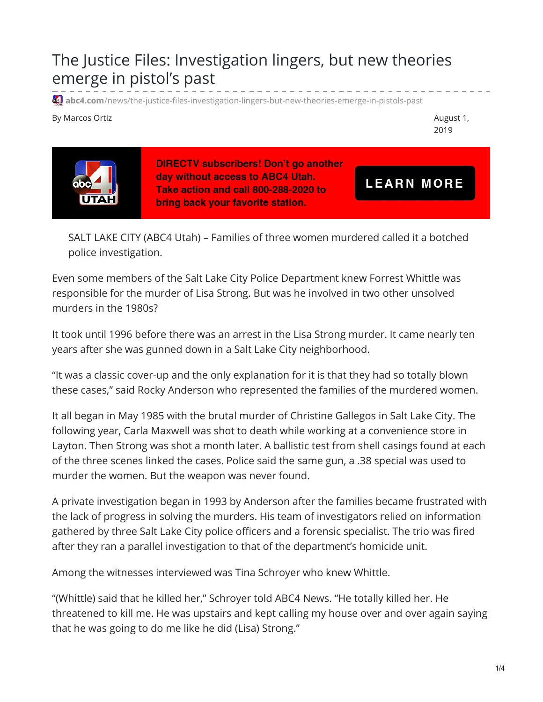## The Justice Files: Investigation lingers, but new theories emerge in pistol's past

**41** abc4.com[/news/the-justice-files-investigation-lingers-but-new-theories-emerge-in-pistols-past](https://www.abc4.com/news/the-justice-files-investigation-lingers-but-new-theories-emerge-in-pistols-past/)

By Marcos Ortiz **August 1, and the Contract Contract 2** and 2 august 1, and 2 august 1, and 2 august 1, and 2 august 1, and 2 august 1, and 2 august 1, and 2 august 1, and 2 august 1, and 2 august 1, and 2 august 1, and 2

2019



**DIRECTV subscribers! Don't go another** day without access to ABC4 Utah. Take action and call 800-288-2020 to bring back your favorite station.

**LEARN MORE** 

SALT LAKE CITY (ABC4 Utah) – Families of three women murdered called it a botched police investigation.

Even some members of the Salt Lake City Police Department knew Forrest Whittle was responsible for the murder of Lisa Strong. But was he involved in two other unsolved murders in the 1980s?

It took until 1996 before there was an arrest in the Lisa Strong murder. It came nearly ten years after she was gunned down in a Salt Lake City neighborhood.

"It was a classic cover-up and the only explanation for it is that they had so totally blown these cases," said Rocky Anderson who represented the families of the murdered women.

It all began in May 1985 with the brutal murder of Christine Gallegos in Salt Lake City. The following year, Carla Maxwell was shot to death while working at a convenience store in Layton. Then Strong was shot a month later. A ballistic test from shell casings found at each of the three scenes linked the cases. Police said the same gun, a .38 special was used to murder the women. But the weapon was never found.

A private investigation began in 1993 by Anderson after the families became frustrated with the lack of progress in solving the murders. His team of investigators relied on information gathered by three Salt Lake City police officers and a forensic specialist. The trio was fired after they ran a parallel investigation to that of the department's homicide unit.

Among the witnesses interviewed was Tina Schroyer who knew Whittle.

"(Whittle) said that he killed her," Schroyer told ABC4 News. "He totally killed her. He threatened to kill me. He was upstairs and kept calling my house over and over again saying that he was going to do me like he did (Lisa) Strong."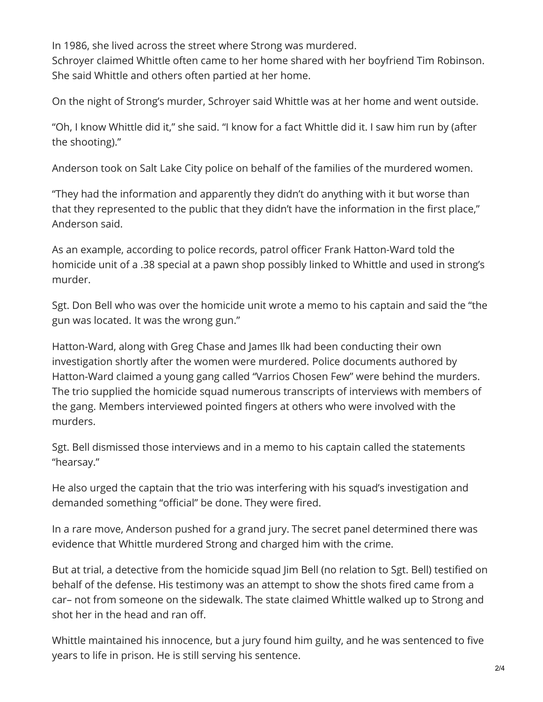In 1986, she lived across the street where Strong was murdered. Schroyer claimed Whittle often came to her home shared with her boyfriend Tim Robinson. She said Whittle and others often partied at her home.

On the night of Strong's murder, Schroyer said Whittle was at her home and went outside.

"Oh, I know Whittle did it," she said. "I know for a fact Whittle did it. I saw him run by (after the shooting)."

Anderson took on Salt Lake City police on behalf of the families of the murdered women.

"They had the information and apparently they didn't do anything with it but worse than that they represented to the public that they didn't have the information in the first place," Anderson said.

As an example, according to police records, patrol officer Frank Hatton-Ward told the homicide unit of a .38 special at a pawn shop possibly linked to Whittle and used in strong's murder.

Sgt. Don Bell who was over the homicide unit wrote a memo to his captain and said the "the gun was located. It was the wrong gun."

Hatton-Ward, along with Greg Chase and James Ilk had been conducting their own investigation shortly after the women were murdered. Police documents authored by Hatton-Ward claimed a young gang called "Varrios Chosen Few" were behind the murders. The trio supplied the homicide squad numerous transcripts of interviews with members of the gang. Members interviewed pointed fingers at others who were involved with the murders.

Sgt. Bell dismissed those interviews and in a memo to his captain called the statements "hearsay."

He also urged the captain that the trio was interfering with his squad's investigation and demanded something "official" be done. They were fired.

In a rare move, Anderson pushed for a grand jury. The secret panel determined there was evidence that Whittle murdered Strong and charged him with the crime.

But at trial, a detective from the homicide squad Jim Bell (no relation to Sgt. Bell) testified on behalf of the defense. His testimony was an attempt to show the shots fired came from a car– not from someone on the sidewalk. The state claimed Whittle walked up to Strong and shot her in the head and ran off.

Whittle maintained his innocence, but a jury found him guilty, and he was sentenced to five years to life in prison. He is still serving his sentence.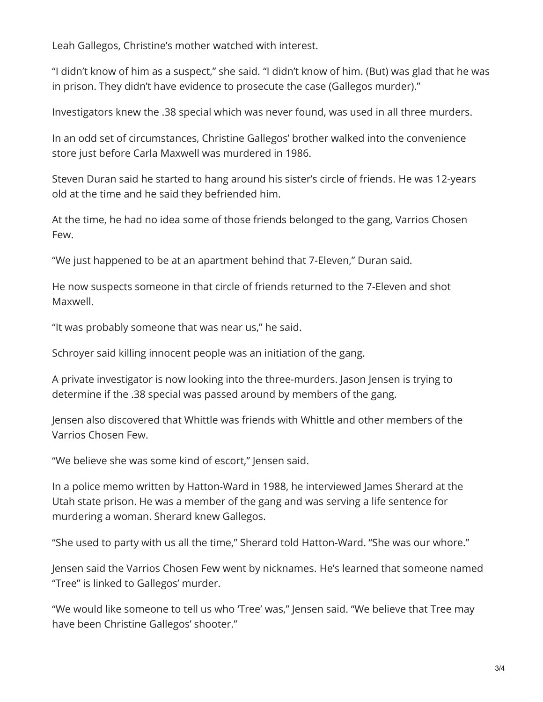Leah Gallegos, Christine's mother watched with interest.

"I didn't know of him as a suspect," she said. "I didn't know of him. (But) was glad that he was in prison. They didn't have evidence to prosecute the case (Gallegos murder)."

Investigators knew the .38 special which was never found, was used in all three murders.

In an odd set of circumstances, Christine Gallegos' brother walked into the convenience store just before Carla Maxwell was murdered in 1986.

Steven Duran said he started to hang around his sister's circle of friends. He was 12-years old at the time and he said they befriended him.

At the time, he had no idea some of those friends belonged to the gang, Varrios Chosen Few.

"We just happened to be at an apartment behind that 7-Eleven," Duran said.

He now suspects someone in that circle of friends returned to the 7-Eleven and shot Maxwell.

"It was probably someone that was near us," he said.

Schroyer said killing innocent people was an initiation of the gang.

A private investigator is now looking into the three-murders. Jason Jensen is trying to determine if the .38 special was passed around by members of the gang.

Jensen also discovered that Whittle was friends with Whittle and other members of the Varrios Chosen Few.

"We believe she was some kind of escort," Jensen said.

In a police memo written by Hatton-Ward in 1988, he interviewed James Sherard at the Utah state prison. He was a member of the gang and was serving a life sentence for murdering a woman. Sherard knew Gallegos.

"She used to party with us all the time," Sherard told Hatton-Ward. "She was our whore."

Jensen said the Varrios Chosen Few went by nicknames. He's learned that someone named "Tree" is linked to Gallegos' murder.

"We would like someone to tell us who 'Tree' was," Jensen said. "We believe that Tree may have been Christine Gallegos' shooter."